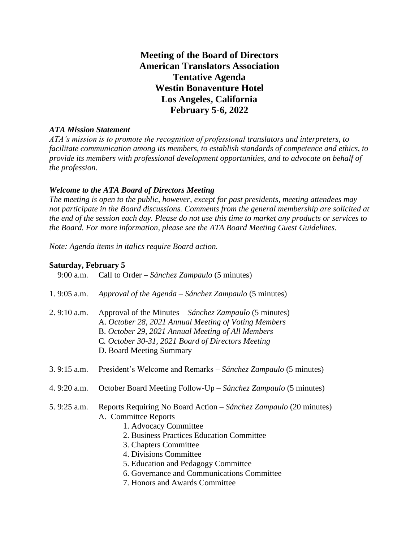**Meeting of the Board of Directors American Translators Association Tentative Agenda Westin Bonaventure Hotel Los Angeles, California February 5-6, 2022**

## *ATA Mission Statement*

*ATA's mission is to promote the recognition of professional translators and interpreters, to facilitate communication among its members, to establish standards of competence and ethics, to provide its members with professional development opportunities, and to advocate on behalf of the profession.*

## *Welcome to the ATA Board of Directors Meeting*

*The meeting is open to the public, however, except for past presidents, meeting attendees may not participate in the Board discussions. Comments from the general membership are solicited at the end of the session each day. Please do not use this time to market any products or services to the Board. For more information, please see the ATA Board Meeting Guest Guidelines.*

*Note: Agenda items in italics require Board action.*

## **Saturday, February 5**

| Call to Order – Sánchez Zampaulo (5 minutes)<br>9:00 a.m.                                                                                                                                                                                                                                                                                 |
|-------------------------------------------------------------------------------------------------------------------------------------------------------------------------------------------------------------------------------------------------------------------------------------------------------------------------------------------|
| Approval of the Agenda – Sánchez Zampaulo (5 minutes)                                                                                                                                                                                                                                                                                     |
| Approval of the Minutes - Sánchez Zampaulo (5 minutes)<br>A. October 28, 2021 Annual Meeting of Voting Members<br>B. October 29, 2021 Annual Meeting of All Members<br>C. October 30-31, 2021 Board of Directors Meeting<br>D. Board Meeting Summary                                                                                      |
| President's Welcome and Remarks – Sánchez Zampaulo (5 minutes)                                                                                                                                                                                                                                                                            |
| October Board Meeting Follow-Up – Sánchez Zampaulo (5 minutes)                                                                                                                                                                                                                                                                            |
| Reports Requiring No Board Action – Sánchez Zampaulo (20 minutes)<br>A. Committee Reports<br>1. Advocacy Committee<br>2. Business Practices Education Committee<br>3. Chapters Committee<br>4. Divisions Committee<br>5. Education and Pedagogy Committee<br>6. Governance and Communications Committee<br>7. Honors and Awards Committee |
|                                                                                                                                                                                                                                                                                                                                           |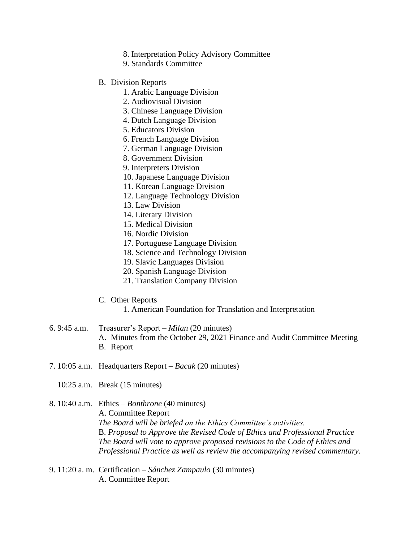- 8. Interpretation Policy Advisory Committee
- 9. Standards Committee
- B. Division Reports
	- 1. Arabic Language Division
	- 2. Audiovisual Division
	- 3. Chinese Language Division
	- 4. Dutch Language Division
	- 5. Educators Division
	- 6. French Language Division
	- 7. German Language Division
	- 8. Government Division
	- 9. Interpreters Division
	- 10. Japanese Language Division
	- 11. Korean Language Division
	- 12. Language Technology Division
	- 13. Law Division
	- 14. Literary Division
	- 15. Medical Division
	- 16. Nordic Division
	- 17. Portuguese Language Division
	- 18. Science and Technology Division
	- 19. Slavic Languages Division
	- 20. Spanish Language Division
	- 21. Translation Company Division
- C. Other Reports
	- 1. American Foundation for Translation and Interpretation
- 6. 9:45 a.m. Treasurer's Report *– Milan* (20 minutes) A. Minutes from the October 29, 2021 Finance and Audit Committee Meeting B. Report
- 7. 10:05 a.m. Headquarters Report *Bacak* (20 minutes)
	- 10:25 a.m. Break (15 minutes)
- 8. 10:40 a.m. Ethics *– Bonthrone* (40 minutes) A. Committee Report *The Board will be briefed on the Ethics Committee's activities.* B. *Proposal to Approve the Revised Code of Ethics and Professional Practice The Board will vote to approve proposed revisions to the Code of Ethics and Professional Practice as well as review the accompanying revised commentary.*
- 9. 11:20 a. m. Certification *– Sánchez Zampaulo* (30 minutes) A. Committee Report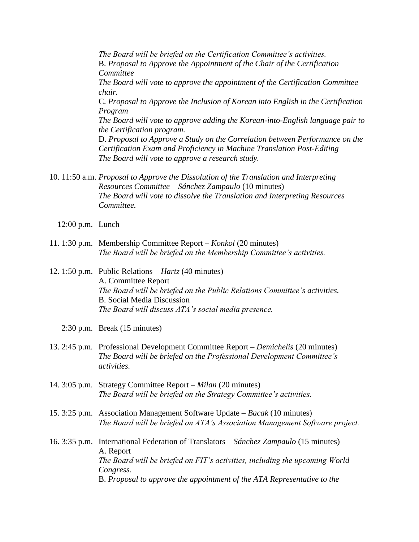*The Board will be briefed on the Certification Committee's activities.* B. *Proposal to Approve the Appointment of the Chair of the Certification Committee The Board will vote to approve the appointment of the Certification Committee chair.* C. *Proposal to Approve the Inclusion of Korean into English in the Certification Program The Board will vote to approve adding the Korean-into-English language pair to the Certification program.* D. *Proposal to Approve a Study on the Correlation between Performance on the Certification Exam and Proficiency in Machine Translation Post-Editing The Board will vote to approve a research study.*

10. 11:50 a.m. *Proposal to Approve the Dissolution of the Translation and Interpreting Resources Committee – Sánchez Zampaulo* (10 minutes) *The Board will vote to dissolve the Translation and Interpreting Resources Committee.*

- 12:00 p.m. Lunch
- 11. 1:30 p.m. Membership Committee Report *Konkol* (20 minutes) *The Board will be briefed on the Membership Committee's activities.*
- 12. 1:50 p.m. Public Relations *Hartz* (40 minutes) A. Committee Report *The Board will be briefed on the Public Relations Committee's activities.* B. Social Media Discussion *The Board will discuss ATA's social media presence.*
	- 2:30 p.m. Break (15 minutes)
- 13. 2:45 p.m. Professional Development Committee Report *– Demichelis* (20 minutes) *The Board will be briefed on the Professional Development Committee's activities.*
- 14. 3:05 p.m. Strategy Committee Report *– Milan* (20 minutes) *The Board will be briefed on the Strategy Committee's activities.*
- 15. 3:25 p.m. Association Management Software Update *– Bacak* (10 minutes) *The Board will be briefed on ATA's Association Management Software project.*

16. 3:35 p.m. International Federation of Translators – *Sánchez Zampaulo* (15 minutes) A. Report *The Board will be briefed on FIT's activities, including the upcoming World Congress.* B. *Proposal to approve the appointment of the ATA Representative to the*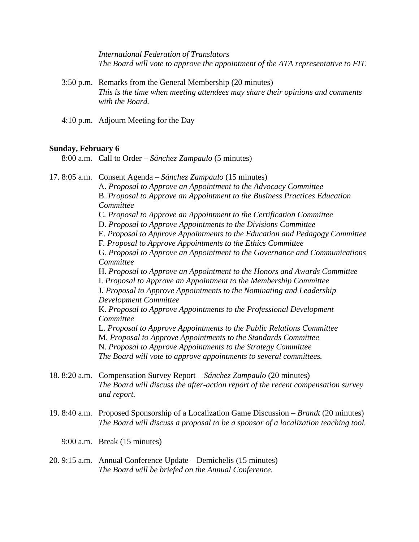*International Federation of Translators The Board will vote to approve the appointment of the ATA representative to FIT.*

- 3:50 p.m. Remarks from the General Membership (20 minutes) *This is the time when meeting attendees may share their opinions and comments with the Board.*
- 4:10 p.m. Adjourn Meeting for the Day

## **Sunday, February 6**

8:00 a.m. Call to Order – *Sánchez Zampaulo* (5 minutes)

17. 8:05 a.m. Consent Agenda – *Sánchez Zampaulo* (15 minutes) A. *Proposal to Approve an Appointment to the Advocacy Committee* B. *Proposal to Approve an Appointment to the Business Practices Education Committee* C. *Proposal to Approve an Appointment to the Certification Committee* D. *Proposal to Approve Appointments to the Divisions Committee* E. *Proposal to Approve Appointments to the Education and Pedagogy Committee* F*. Proposal to Approve Appointments to the Ethics Committee* G*. Proposal to Approve an Appointment to the Governance and Communications Committee* H. *Proposal to Approve an Appointment to the Honors and Awards Committee* I. *Proposal to Approve an Appointment to the Membership Committee* J. *Proposal to Approve Appointments to the Nominating and Leadership Development Committee* K. *Proposal to Approve Appointments to the Professional Development Committee* L. *Proposal to Approve Appointments to the Public Relations Committee* M. *Proposal to Approve Appointments to the Standards Committee* N. *Proposal to Approve Appointments to the Strategy Committee The Board will vote to approve appointments to several committees.* 18. 8:20 a.m. Compensation Survey Report – *Sánchez Zampaulo* (20 minutes) *The Board will discuss the after-action report of the recent compensation survey and report.* 19. 8:40 a.m. Proposed Sponsorship of a Localization Game Discussion – *Brandt* (20 minutes) *The Board will discuss a proposal to be a sponsor of a localization teaching tool.*

- 9:00 a.m. Break (15 minutes)
- 20. 9:15 a.m. Annual Conference Update *–* Demichelis (15 minutes) *The Board will be briefed on the Annual Conference.*